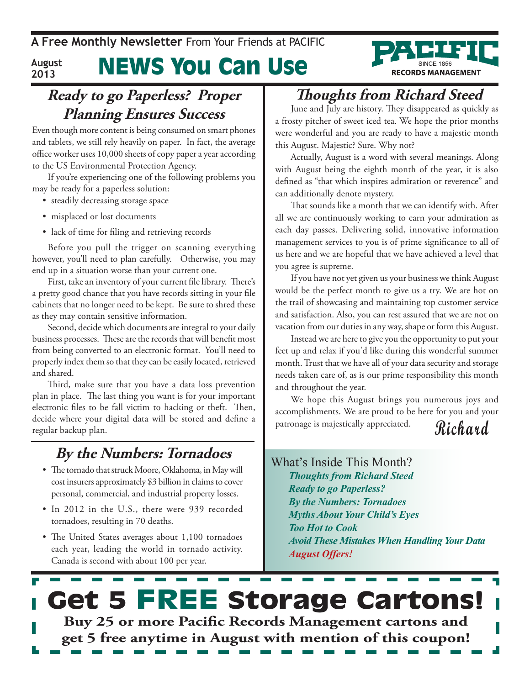#### News You Can Use **August 2013**



Even though more content is being consumed on smart phones and tablets, we still rely heavily on paper. In fact, the average office worker uses 10,000 sheets of copy paper a year according to the US Environmental Protection Agency.

If you're experiencing one of the following problems you may be ready for a paperless solution:

- steadily decreasing storage space
- misplaced or lost documents
- lack of time for filing and retrieving records

Before you pull the trigger on scanning everything however, you'll need to plan carefully. Otherwise, you may end up in a situation worse than your current one.

First, take an inventory of your current file library. There's a pretty good chance that you have records sitting in your file cabinets that no longer need to be kept. Be sure to shred these as they may contain sensitive information.

Second, decide which documents are integral to your daily business processes. These are the records that will benefit most from being converted to an electronic format. You'll need to properly index them so that they can be easily located, retrieved and shared.

Third, make sure that you have a data loss prevention plan in place. The last thing you want is for your important electronic files to be fall victim to hacking or theft. Then, decide where your digital data will be stored and define a regular backup plan.

### **By the Numbers: Tornadoes**

- The tornado that struck Moore, Oklahoma, in May will cost insurers approximately \$3 billion in claims to cover personal, commercial, and industrial property losses.
- In 2012 in the U.S., there were 939 recorded tornadoes, resulting in 70 deaths.
- The United States averages about 1,100 tornadoes each year, leading the world in tornado activity. Canada is second with about 100 per year.

# **Thoughts from Richard Steed**

**RECORDS MANAGEMENT** 

June and July are history. They disappeared as quickly as a frosty pitcher of sweet iced tea. We hope the prior months were wonderful and you are ready to have a majestic month this August. Majestic? Sure. Why not?

Actually, August is a word with several meanings. Along with August being the eighth month of the year, it is also defined as "that which inspires admiration or reverence" and can additionally denote mystery.

That sounds like a month that we can identify with. After all we are continuously working to earn your admiration as each day passes. Delivering solid, innovative information management services to you is of prime significance to all of us here and we are hopeful that we have achieved a level that you agree is supreme.

If you have not yet given us your business we think August would be the perfect month to give us a try. We are hot on the trail of showcasing and maintaining top customer service and satisfaction. Also, you can rest assured that we are not on vacation from our duties in any way, shape or form this August.

Instead we are here to give you the opportunity to put your feet up and relax if you'd like during this wonderful summer month. Trust that we have all of your data security and storage needs taken care of, as is our prime responsibility this month and throughout the year.

We hope this August brings you numerous joys and accomplishments. We are proud to be here for you and your patronage is majestically appreciated.

### **Richard**

#### What's Inside This Month? *Thoughts from Richard Steed Ready to go Paperless? By the Numbers: Tornadoes Myths About Your Child's Eyes Too Hot to Cook Avoid These Mistakes When Handling Your Data August Offers!*

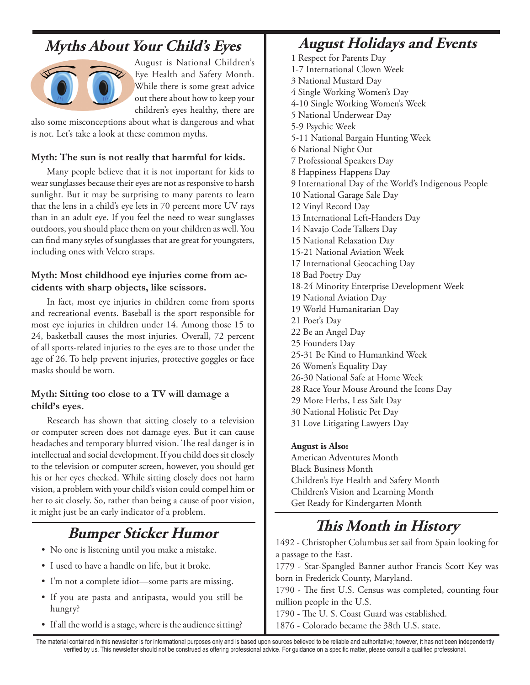### **Myths About Your Child's Eyes**



August is National Children's Eye Health and Safety Month. While there is some great advice out there about how to keep your children's eyes healthy, there are

also some misconceptions about what is dangerous and what is not. Let's take a look at these common myths.

#### **Myth: The sun is not really that harmful for kids.**

Many people believe that it is not important for kids to wear sunglasses because their eyes are not as responsive to harsh sunlight. But it may be surprising to many parents to learn that the lens in a child's eye lets in 70 percent more UV rays than in an adult eye. If you feel the need to wear sunglasses outdoors, you should place them on your children as well. You can find many styles of sunglasses that are great for youngsters, including ones with Velcro straps.

#### **Myth: Most childhood eye injuries come from accidents with sharp objects, like scissors.**

In fact, most eye injuries in children come from sports and recreational events. Baseball is the sport responsible for most eye injuries in children under 14. Among those 15 to 24, basketball causes the most injuries. Overall, 72 percent of all sports-related injuries to the eyes are to those under the age of 26. To help prevent injuries, protective goggles or face masks should be worn.

#### **Myth: Sitting too close to a TV will damage a child's eyes.**

Research has shown that sitting closely to a television or computer screen does not damage eyes. But it can cause headaches and temporary blurred vision. The real danger is in intellectual and social development. If you child does sit closely to the television or computer screen, however, you should get his or her eyes checked. While sitting closely does not harm vision, a problem with your child's vision could compel him or her to sit closely. So, rather than being a cause of poor vision, it might just be an early indicator of a problem.

### **Bumper Sticker Humor**

- No one is listening until you make a mistake.
- I used to have a handle on life, but it broke.
- I'm not a complete idiot—some parts are missing.
- If you ate pasta and antipasta, would you still be hungry?
- If all the world is a stage, where is the audience sitting?

#### **August Holidays and Events**

1 Respect for Parents Day 1-7 International Clown Week 3 National Mustard Day 4 Single Working Women's Day 4-10 Single Working Women's Week 5 National Underwear Day 5-9 Psychic Week 5-11 National Bargain Hunting Week 6 National Night Out 7 Professional Speakers Day 8 Happiness Happens Day 9 International Day of the World's Indigenous People 10 National Garage Sale Day 12 Vinyl Record Day 13 International Left-Handers Day 14 Navajo Code Talkers Day 15 National Relaxation Day 15-21 National Aviation Week 17 International Geocaching Day 18 Bad Poetry Day 18-24 Minority Enterprise Development Week 19 National Aviation Day 19 World Humanitarian Day 21 Poet's Day 22 Be an Angel Day 25 Founders Day 25-31 Be Kind to Humankind Week 26 Women's Equality Day 26-30 National Safe at Home Week 28 Race Your Mouse Around the Icons Day 29 More Herbs, Less Salt Day 30 National Holistic Pet Day 31 Love Litigating Lawyers Day

#### **August is Also:**

American Adventures Month Black Business Month Children's Eye Health and Safety Month Children's Vision and Learning Month Get Ready for Kindergarten Month

### **This Month in History**

1492 - Christopher Columbus set sail from Spain looking for a passage to the East.

1779 - Star-Spangled Banner author Francis Scott Key was born in Frederick County, Maryland.

1790 - The first U.S. Census was completed, counting four million people in the U.S.

1790 - The U. S. Coast Guard was established. 1876 - Colorado became the 38th U.S. state.

The material contained in this newsletter is for informational purposes only and is based upon sources believed to be reliable and authoritative; however, it has not been independently verified by us. This newsletter should not be construed as offering professional advice. For guidance on a specific matter, please consult a qualified professional.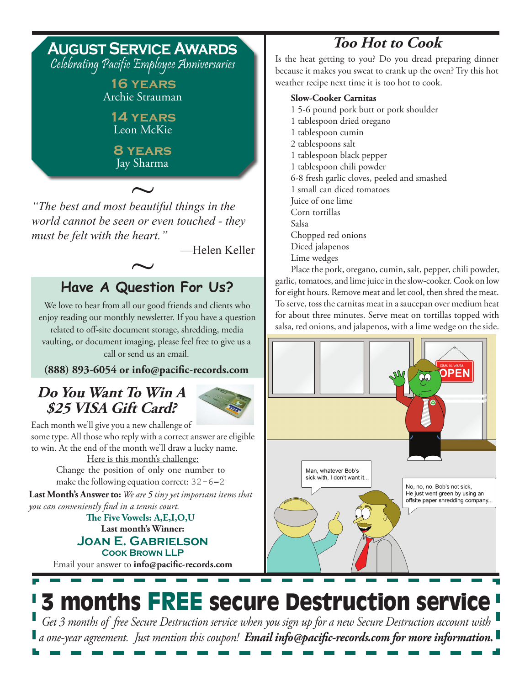

*world cannot be seen or even touched - they must be felt with the heart."*

—Helen Keller

# **Have A Question For Us?**  $\sim$

We love to hear from all our good friends and clients who enjoy reading our monthly newsletter. If you have a question related to off-site document storage, shredding, media vaulting, or document imaging, please feel free to give us a call or send us an email.

**(888) 893-6054 or info@pacific-records.com**

#### **Do You Want To Win A \$25 VISA Gift Card?**



Each month we'll give you a new challenge of some type. All those who reply with a correct answer are eligible to win. At the end of the month we'll draw a lucky name.

> Here is this month's challenge: Change the position of only one number to make the following equation correct:  $32 - 6 = 2$

**Last Month's Answer to:** *We are 5 tiny yet important items that you can conveniently find in a tennis court.*

**Last month's Winner: Joan E. Gabrielson Cook Brown LLP The Five Vowels: A,E,I,O,U**

Email your answer to **info@pacific-records.com**

# **Too Hot to Cook**

Is the heat getting to you? Do you dread preparing dinner because it makes you sweat to crank up the oven? Try this hot weather recipe next time it is too hot to cook.

#### **Slow-Cooker Carnitas**

- 1 5-6 pound pork butt or pork shoulder 1 tablespoon dried oregano 1 tablespoon cumin
- 2 tablespoons salt
- 1 tablespoon black pepper
- 1 tablespoon chili powder
- 6-8 fresh garlic cloves, peeled and smashed
- 1 small can diced tomatoes
- Juice of one lime
- Corn tortillas
- Salsa
- Chopped red onions
- Diced jalapenos
- Lime wedges

Place the pork, oregano, cumin, salt, pepper, chili powder, garlic, tomatoes, and lime juice in the slow-cooker. Cook on low for eight hours. Remove meat and let cool, then shred the meat. To serve, toss the carnitas meat in a saucepan over medium heat for about three minutes. Serve meat on tortillas topped with salsa, red onions, and jalapenos, with a lime wedge on the side.



# 3 months FREE secure Destruction service

*Get 3 months of free Secure Destruction service when you sign up for a new Secure Destruction account with a one-year agreement. Just mention this coupon! Email info@pacific-records.com for more information.*